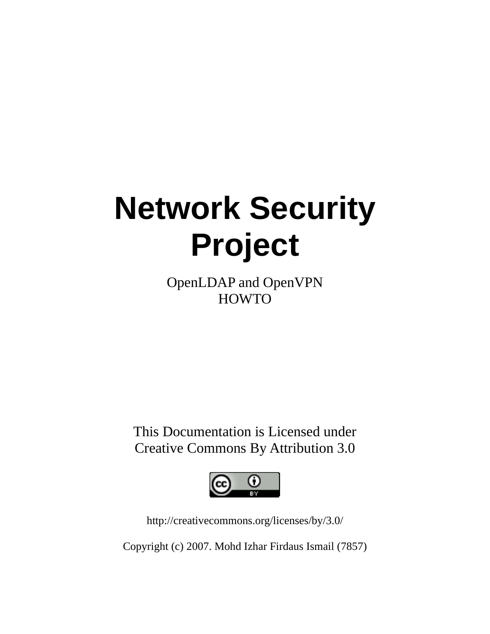# **Network Security Project**

OpenLDAP and OpenVPN **HOWTO** 

This Documentation is Licensed under Creative Commons By Attribution 3.0



http://creativecommons.org/licenses/by/3.0/

Copyright (c) 2007. Mohd Izhar Firdaus Ismail (7857)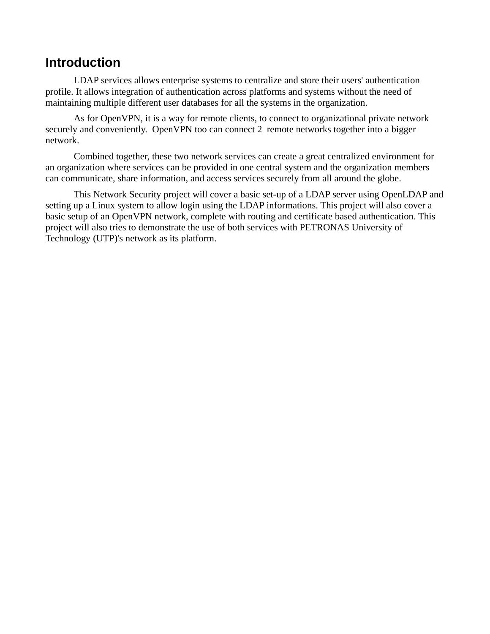## **Introduction**

LDAP services allows enterprise systems to centralize and store their users' authentication profile. It allows integration of authentication across platforms and systems without the need of maintaining multiple different user databases for all the systems in the organization.

As for OpenVPN, it is a way for remote clients, to connect to organizational private network securely and conveniently. OpenVPN too can connect 2 remote networks together into a bigger network.

Combined together, these two network services can create a great centralized environment for an organization where services can be provided in one central system and the organization members can communicate, share information, and access services securely from all around the globe.

This Network Security project will cover a basic set-up of a LDAP server using OpenLDAP and setting up a Linux system to allow login using the LDAP informations. This project will also cover a basic setup of an OpenVPN network, complete with routing and certificate based authentication. This project will also tries to demonstrate the use of both services with PETRONAS University of Technology (UTP)'s network as its platform.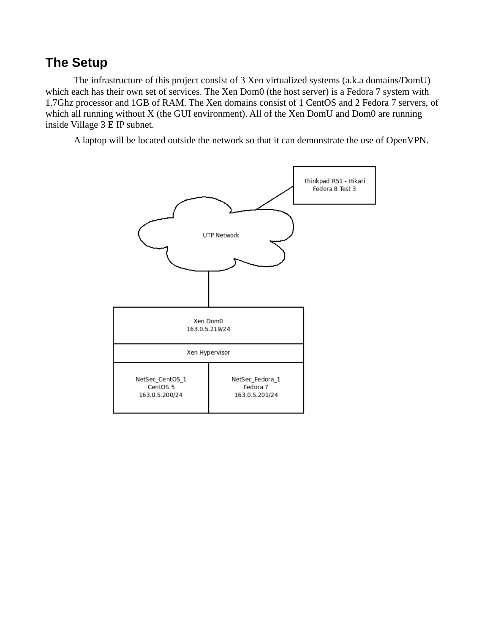# **The Setup**

The infrastructure of this project consist of 3 Xen virtualized systems (a.k.a domains/DomU) which each has their own set of services. The Xen Dom0 (the host server) is a Fedora 7 system with 1.7Ghz processor and 1GB of RAM. The Xen domains consist of 1 CentOS and 2 Fedora 7 servers, of which all running without X (the GUI environment). All of the Xen DomU and Dom0 are running inside Village 3 E IP subnet.

A laptop will be located outside the network so that it can demonstrate the use of OpenVPN.

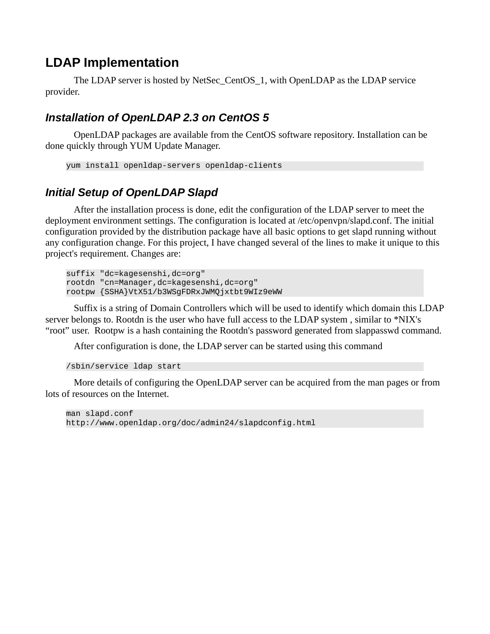# **LDAP Implementation**

The LDAP server is hosted by NetSec\_CentOS\_1, with OpenLDAP as the LDAP service provider.

#### *Installation of OpenLDAP 2.3 on CentOS 5*

OpenLDAP packages are available from the CentOS software repository. Installation can be done quickly through YUM Update Manager.

```
yum install openldap-servers openldap-clients
```
#### *Initial Setup of OpenLDAP Slapd*

After the installation process is done, edit the configuration of the LDAP server to meet the deployment environment settings. The configuration is located at /etc/openvpn/slapd.conf. The initial configuration provided by the distribution package have all basic options to get slapd running without any configuration change. For this project, I have changed several of the lines to make it unique to this project's requirement. Changes are:

suffix "dc=kagesenshi,dc=org" rootdn "cn=Manager,dc=kagesenshi,dc=org" rootpw {SSHA}VtX51/b3WSgFDRxJWMQjxtbt9WIz9eWW

Suffix is a string of Domain Controllers which will be used to identify which domain this LDAP server belongs to. Rootdn is the user who have full access to the LDAP system , similar to \*NIX's "root" user. Rootpw is a hash containing the Rootdn's password generated from slappasswd command.

After configuration is done, the LDAP server can be started using this command

```
/sbin/service ldap start
```
More details of configuring the OpenLDAP server can be acquired from the man pages or from lots of resources on the Internet.

man slapd.conf http://www.openldap.org/doc/admin24/slapdconfig.html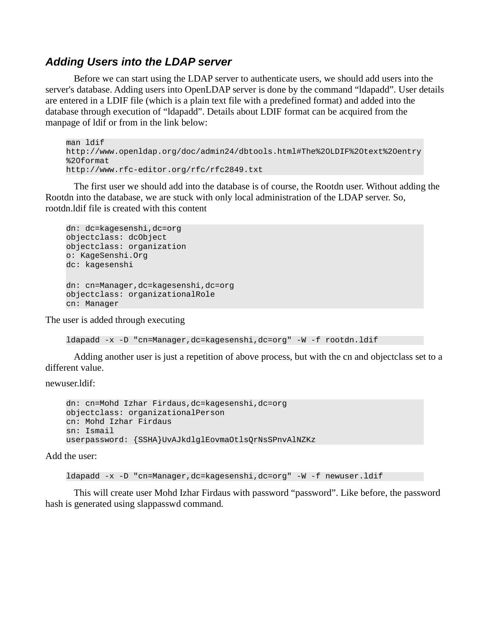#### *Adding Users into the LDAP server*

Before we can start using the LDAP server to authenticate users, we should add users into the server's database. Adding users into OpenLDAP server is done by the command "ldapadd". User details are entered in a LDIF file (which is a plain text file with a predefined format) and added into the database through execution of "ldapadd". Details about LDIF format can be acquired from the manpage of ldif or from in the link below:

man ldif http://www.openldap.org/doc/admin24/dbtools.html#The%20LDIF%20text%20entry %20format http://www.rfc-editor.org/rfc/rfc2849.txt

The first user we should add into the database is of course, the Rootdn user. Without adding the Rootdn into the database, we are stuck with only local administration of the LDAP server. So, rootdn.ldif file is created with this content

```
dn: dc=kagesenshi,dc=org 
objectclass: dcObject
objectclass: organization
o: KageSenshi.Org 
dc: kagesenshi 
dn: cn=Manager,dc=kagesenshi,dc=org 
objectclass: organizationalRole 
cn: Manager
```
The user is added through executing

```
ldapadd -x -D "cn=Manager,dc=kagesenshi,dc=org" -W -f rootdn.ldif
```
Adding another user is just a repetition of above process, but with the cn and objectclass set to a different value.

newuser.ldif:

```
dn: cn=Mohd Izhar Firdaus,dc=kagesenshi,dc=org 
objectclass: organizationalPerson
cn: Mohd Izhar Firdaus
sn: Ismail
userpassword: {SSHA}UvAJkdlglEovmaOtlsQrNsSPnvAlNZKz
```
Add the user:

```
ldapadd -x -D "cn=Manager,dc=kagesenshi,dc=org" -W -f newuser.ldif
```
This will create user Mohd Izhar Firdaus with password "password". Like before, the password hash is generated using slappasswd command.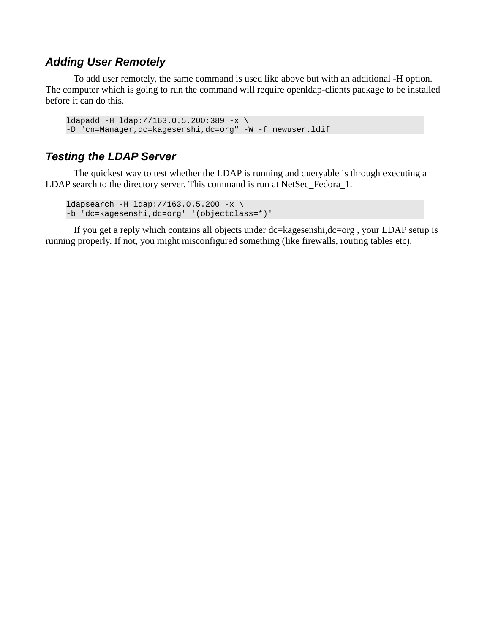#### *Adding User Remotely*

To add user remotely, the same command is used like above but with an additional -H option. The computer which is going to run the command will require openldap-clients package to be installed before it can do this.

```
1dapadd -H 1dap://163.0.5.200:389 -x \
-D "cn=Manager,dc=kagesenshi,dc=org" -W -f newuser.ldif
```
#### *Testing the LDAP Server*

The quickest way to test whether the LDAP is running and queryable is through executing a LDAP search to the directory server. This command is run at NetSec\_Fedora\_1.

```
ldapsearch -H 1dap://163.0.5.200 -x \-b 'dc=kagesenshi,dc=org' '(objectclass=*)'
```
If you get a reply which contains all objects under dc=kagesenshi,dc=org , your LDAP setup is running properly. If not, you might misconfigured something (like firewalls, routing tables etc).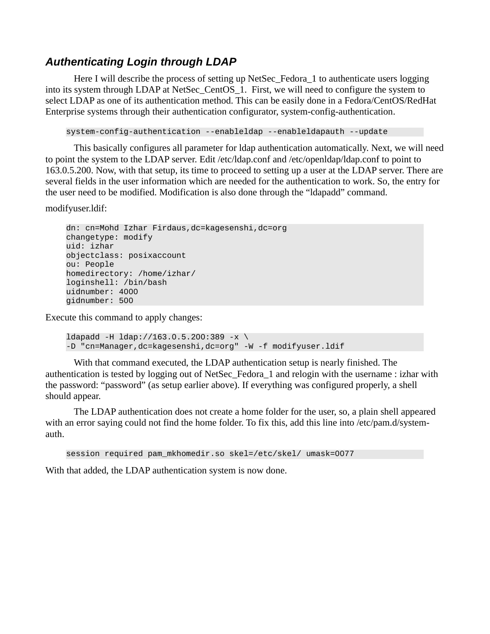#### *Authenticating Login through LDAP*

Here I will describe the process of setting up NetSec\_Fedora\_1 to authenticate users logging into its system through LDAP at NetSec\_CentOS\_1. First, we will need to configure the system to select LDAP as one of its authentication method. This can be easily done in a Fedora/CentOS/RedHat Enterprise systems through their authentication configurator, system-config-authentication.

system-config-authentication --enableldap --enableldapauth --update

This basically configures all parameter for ldap authentication automatically. Next, we will need to point the system to the LDAP server. Edit /etc/ldap.conf and /etc/openldap/ldap.conf to point to 163.0.5.200. Now, with that setup, its time to proceed to setting up a user at the LDAP server. There are several fields in the user information which are needed for the authentication to work. So, the entry for the user need to be modified. Modification is also done through the "ldapadd" command.

modifyuser.ldif:

dn: cn=Mohd Izhar Firdaus,dc=kagesenshi,dc=org changetype: modify uid: izhar objectclass: posixaccount ou: People homedirectory: /home/izhar/ loginshell: /bin/bash uidnumber: 4000 gidnumber: 500

Execute this command to apply changes:

```
ldapadd -H ldap://163.0.5.200:389 -x \ 
-D "cn=Manager,dc=kagesenshi,dc=org" -W -f modifyuser.ldif
```
With that command executed, the LDAP authentication setup is nearly finished. The authentication is tested by logging out of NetSec\_Fedora\_1 and relogin with the username : izhar with the password: "password" (as setup earlier above). If everything was configured properly, a shell should appear.

The LDAP authentication does not create a home folder for the user, so, a plain shell appeared with an error saying could not find the home folder. To fix this, add this line into /etc/pam.d/systemauth.

session required pam\_mkhomedir.so skel=/etc/skel/ umask=0077

With that added, the LDAP authentication system is now done.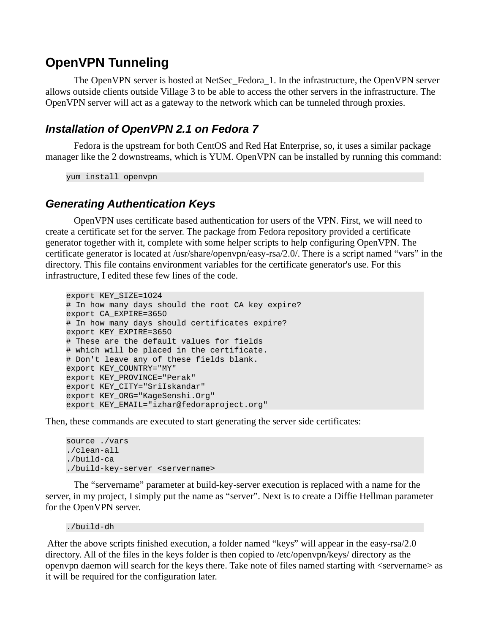## **OpenVPN Tunneling**

The OpenVPN server is hosted at NetSec\_Fedora\_1. In the infrastructure, the OpenVPN server allows outside clients outside Village 3 to be able to access the other servers in the infrastructure. The OpenVPN server will act as a gateway to the network which can be tunneled through proxies.

#### *Installation of OpenVPN 2.1 on Fedora 7*

Fedora is the upstream for both CentOS and Red Hat Enterprise, so, it uses a similar package manager like the 2 downstreams, which is YUM. OpenVPN can be installed by running this command:

yum install openvpn

#### *Generating Authentication Keys*

OpenVPN uses certificate based authentication for users of the VPN. First, we will need to create a certificate set for the server. The package from Fedora repository provided a certificate generator together with it, complete with some helper scripts to help configuring OpenVPN. The certificate generator is located at /usr/share/openvpn/easy-rsa/2.0/. There is a script named "vars" in the directory. This file contains environment variables for the certificate generator's use. For this infrastructure, I edited these few lines of the code.

```
export KEY_SIZE=1024 
# In how many days should the root CA key expire?
export CA_EXPIRE=3650 
# In how many days should certificates expire? 
export KEY_EXPIRE=3650 
# These are the default values for fields 
# which will be placed in the certificate. 
# Don't leave any of these fields blank. 
export KEY_COUNTRY="MY" 
export KEY_PROVINCE="Perak" 
export KEY_CITY="SriIskandar" 
export KEY_ORG="KageSenshi.Org" 
export KEY_EMAIL="izhar@fedoraproject.org"
```
Then, these commands are executed to start generating the server side certificates:

```
source ./vars
./clean-all
./build-ca
./build-key-server <servername>
```
The "servername" parameter at build-key-server execution is replaced with a name for the server, in my project, I simply put the name as "server". Next is to create a Diffie Hellman parameter for the OpenVPN server.

./build-dh

 After the above scripts finished execution, a folder named "keys" will appear in the easy-rsa/2.0 directory. All of the files in the keys folder is then copied to /etc/openvpn/keys/ directory as the openvpn daemon will search for the keys there. Take note of files named starting with <servername> as it will be required for the configuration later.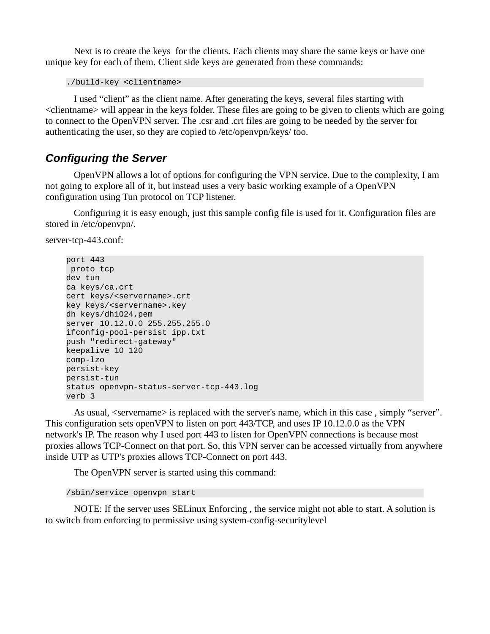Next is to create the keys for the clients. Each clients may share the same keys or have one unique key for each of them. Client side keys are generated from these commands:

./build-key <clientname>

I used "client" as the client name. After generating the keys, several files starting with <clientname> will appear in the keys folder. These files are going to be given to clients which are going to connect to the OpenVPN server. The .csr and .crt files are going to be needed by the server for authenticating the user, so they are copied to /etc/openvpn/keys/ too.

#### *Configuring the Server*

OpenVPN allows a lot of options for configuring the VPN service. Due to the complexity, I am not going to explore all of it, but instead uses a very basic working example of a OpenVPN configuration using Tun protocol on TCP listener.

Configuring it is easy enough, just this sample config file is used for it. Configuration files are stored in /etc/openvpn/.

```
server-tcp-443.conf:
```

```
port 443
 proto tcp 
dev tun 
ca keys/ca.crt 
cert keys/<servername>.crt 
key keys/<servername>.key 
dh keys/dh1024.pem 
server 10.12.0.0 255.255.255.0 
ifconfig-pool-persist ipp.txt 
push "redirect-gateway" 
keepalive 10 120 
comp-lzo 
persist-key 
persist-tun 
status openvpn-status-server-tcp-443.log 
verb 3
```
As usual, <servername> is replaced with the server's name, which in this case , simply "server". This configuration sets openVPN to listen on port 443/TCP, and uses IP 10.12.0.0 as the VPN network's IP. The reason why I used port 443 to listen for OpenVPN connections is because most proxies allows TCP-Connect on that port. So, this VPN server can be accessed virtually from anywhere inside UTP as UTP's proxies allows TCP-Connect on port 443.

The OpenVPN server is started using this command:

#### /sbin/service openvpn start

NOTE: If the server uses SELinux Enforcing , the service might not able to start. A solution is to switch from enforcing to permissive using system-config-securitylevel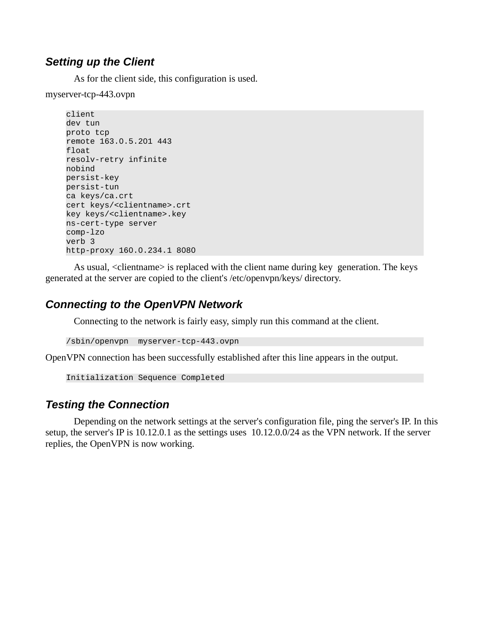#### *Setting up the Client*

As for the client side, this configuration is used.

myserver-tcp-443.ovpn

```
client 
dev tun 
proto tcp 
remote 163.0.5.201 443 
float 
resolv-retry infinite 
nobind 
persist-key 
persist-tun 
ca keys/ca.crt 
cert keys/<clientname>.crt 
key keys/<clientname>.key 
ns-cert-type server 
comp-lzo 
verb 3 
http-proxy 160.0.234.1 8080
```
As usual, <clientname> is replaced with the client name during key generation. The keys generated at the server are copied to the client's /etc/openvpn/keys/ directory.

#### *Connecting to the OpenVPN Network*

Connecting to the network is fairly easy, simply run this command at the client.

/sbin/openvpn myserver-tcp-443.ovpn

OpenVPN connection has been successfully established after this line appears in the output.

```
Initialization Sequence Completed
```
#### *Testing the Connection*

Depending on the network settings at the server's configuration file, ping the server's IP. In this setup, the server's IP is 10.12.0.1 as the settings uses 10.12.0.0/24 as the VPN network. If the server replies, the OpenVPN is now working.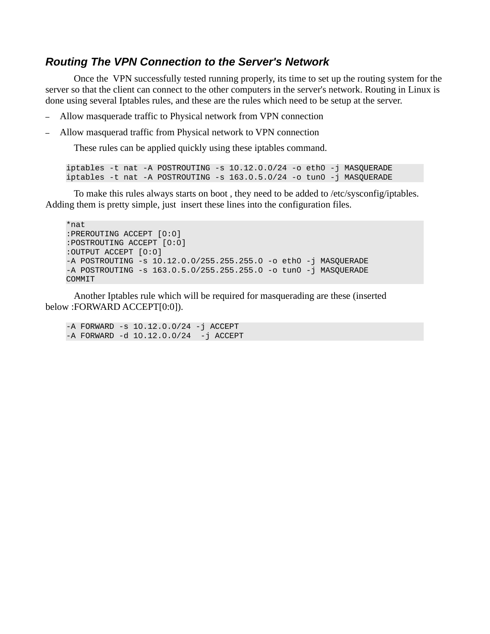#### *Routing The VPN Connection to the Server's Network*

Once the VPN successfully tested running properly, its time to set up the routing system for the server so that the client can connect to the other computers in the server's network. Routing in Linux is done using several Iptables rules, and these are the rules which need to be setup at the server.

- Allow masquerade traffic to Physical network from VPN connection
- Allow masquerad traffic from Physical network to VPN connection

These rules can be applied quickly using these iptables command.

```
iptables -t nat -A POSTROUTING -s 10.12.0.0/24 -o eth0 -j MASQUERADE
iptables -t nat -A POSTROUTING -s 163.0.5.0/24 -o tun0 -j MASQUERADE
```
To make this rules always starts on boot , they need to be added to /etc/sysconfig/iptables. Adding them is pretty simple, just insert these lines into the configuration files.

\*nat :PREROUTING ACCEPT [0:0] :POSTROUTING ACCEPT [0:0] :OUTPUT ACCEPT [0:0] -A POSTROUTING -s 10.12.0.0/255.255.255.0 -o eth0 -j MASQUERADE -A POSTROUTING -s 163.0.5.0/255.255.255.0 -o tun0 -j MASQUERADE COMMIT

Another Iptables rule which will be required for masquerading are these (inserted below :FORWARD ACCEPT[0:0]).

-A FORWARD -s 10.12.0.0/24 -j ACCEPT -A FORWARD -d 10.12.0.0/24 -j ACCEPT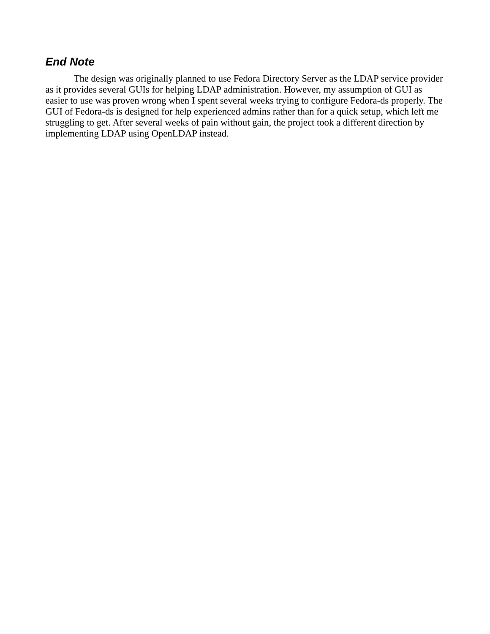#### *End Note*

The design was originally planned to use Fedora Directory Server as the LDAP service provider as it provides several GUIs for helping LDAP administration. However, my assumption of GUI as easier to use was proven wrong when I spent several weeks trying to configure Fedora-ds properly. The GUI of Fedora-ds is designed for help experienced admins rather than for a quick setup, which left me struggling to get. After several weeks of pain without gain, the project took a different direction by implementing LDAP using OpenLDAP instead.